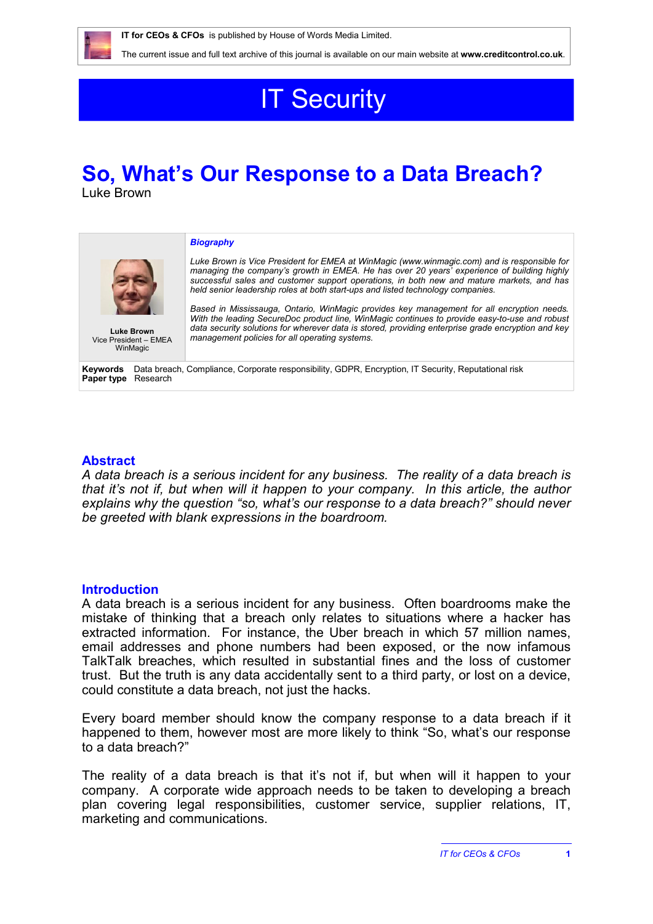

The current issue and full text archive of this journal is available on our main website at **www.creditcontrol.co.uk**.

# **IT Security**

# **So, What's Our Response to a Data Breach?** Luke Brown

*Biography*

*Luke Brown is Vice President for EMEA at WinMagic (www.winmagic.com) and is responsible for managing the company's growth in EMEA. He has over 20 years' experience of building highly successful sales and customer support operations, in both new and mature markets, and has held senior leadership roles at both start-ups and listed technology companies.*

Vice President – EMEA **WinMagic** 

*Based in Mississauga, Ontario, WinMagic provides key management for all encryption needs. With the leading SecureDoc product line, WinMagic continues to provide easy-to-use and robust data security solutions for wherever data is stored, providing enterprise grade encryption and key*  **Luke Brown** and a security solutions for wherever data is sto<br>**President – FMFA** management policies for all operating systems.

**Keywords** Data breach, Compliance, Corporate responsibility, GDPR, Encryption, IT Security, Reputational risk **Paper type** Research

## **Abstract**

*A data breach is a serious incident for any business. The reality of a data breach is that it's not if, but when will it happen to your company. In this article, the author explains why the question "so, what's our response to a data breach?" should never be greeted with blank expressions in the boardroom.*

### **Introduction**

A data breach is a serious incident for any business. Often boardrooms make the mistake of thinking that a breach only relates to situations where a hacker has extracted information. For instance, the Uber breach in which 57 million names, email addresses and phone numbers had been exposed, or the now infamous TalkTalk breaches, which resulted in substantial fines and the loss of customer trust. But the truth is any data accidentally sent to a third party, or lost on a device, could constitute a data breach, not just the hacks.

Every board member should know the company response to a data breach if it happened to them, however most are more likely to think "So, what's our response to a data breach?"

The reality of a data breach is that it's not if, but when will it happen to your company. A corporate wide approach needs to be taken to developing a breach plan covering legal responsibilities, customer service, supplier relations, IT, marketing and communications.